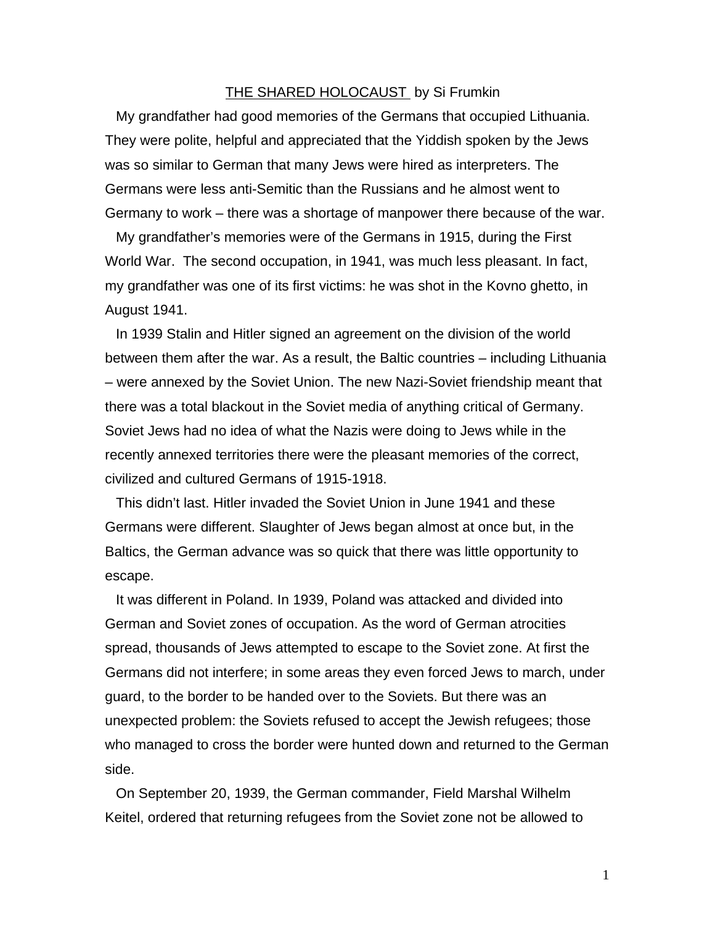## THE SHARED HOLOCAUST by Si Frumkin

My grandfather had good memories of the Germans that occupied Lithuania. They were polite, helpful and appreciated that the Yiddish spoken by the Jews was so similar to German that many Jews were hired as interpreters. The Germans were less anti-Semitic than the Russians and he almost went to Germany to work – there was a shortage of manpower there because of the war.

My grandfather's memories were of the Germans in 1915, during the First World War. The second occupation, in 1941, was much less pleasant. In fact, my grandfather was one of its first victims: he was shot in the Kovno ghetto, in August 1941.

In 1939 Stalin and Hitler signed an agreement on the division of the world between them after the war. As a result, the Baltic countries – including Lithuania – were annexed by the Soviet Union. The new Nazi-Soviet friendship meant that there was a total blackout in the Soviet media of anything critical of Germany. Soviet Jews had no idea of what the Nazis were doing to Jews while in the recently annexed territories there were the pleasant memories of the correct, civilized and cultured Germans of 1915-1918.

This didn't last. Hitler invaded the Soviet Union in June 1941 and these Germans were different. Slaughter of Jews began almost at once but, in the Baltics, the German advance was so quick that there was little opportunity to escape.

It was different in Poland. In 1939, Poland was attacked and divided into German and Soviet zones of occupation. As the word of German atrocities spread, thousands of Jews attempted to escape to the Soviet zone. At first the Germans did not interfere; in some areas they even forced Jews to march, under guard, to the border to be handed over to the Soviets. But there was an unexpected problem: the Soviets refused to accept the Jewish refugees; those who managed to cross the border were hunted down and returned to the German side.

On September 20, 1939, the German commander, Field Marshal Wilhelm Keitel, ordered that returning refugees from the Soviet zone not be allowed to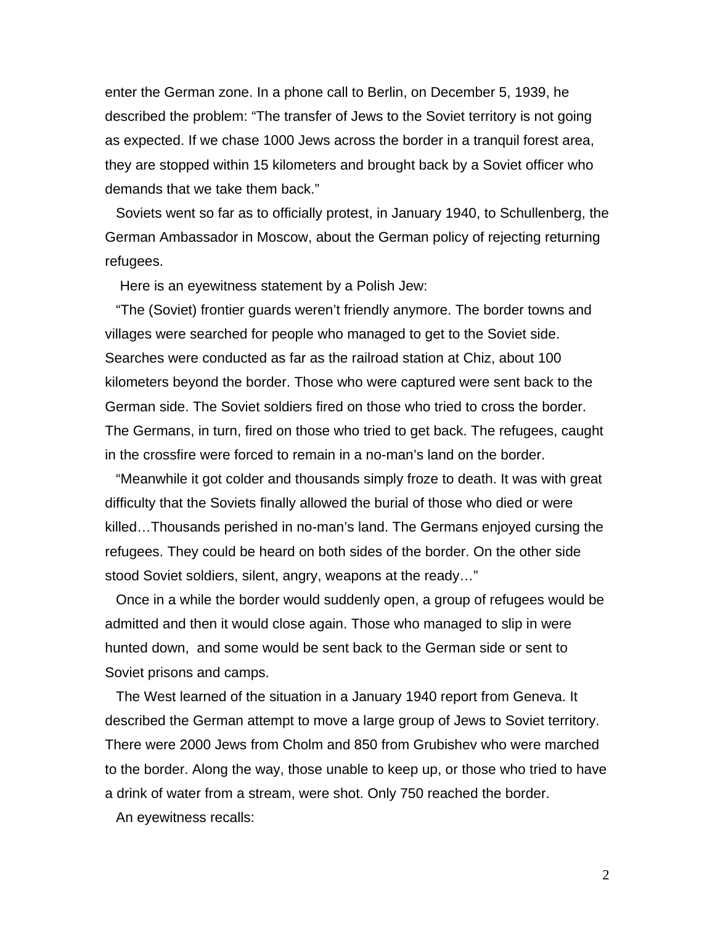enter the German zone. In a phone call to Berlin, on December 5, 1939, he described the problem: "The transfer of Jews to the Soviet territory is not going as expected. If we chase 1000 Jews across the border in a tranquil forest area, they are stopped within 15 kilometers and brought back by a Soviet officer who demands that we take them back."

Soviets went so far as to officially protest, in January 1940, to Schullenberg, the German Ambassador in Moscow, about the German policy of rejecting returning refugees.

Here is an eyewitness statement by a Polish Jew:

"The (Soviet) frontier guards weren't friendly anymore. The border towns and villages were searched for people who managed to get to the Soviet side. Searches were conducted as far as the railroad station at Chiz, about 100 kilometers beyond the border. Those who were captured were sent back to the German side. The Soviet soldiers fired on those who tried to cross the border. The Germans, in turn, fired on those who tried to get back. The refugees, caught in the crossfire were forced to remain in a no-man's land on the border.

"Meanwhile it got colder and thousands simply froze to death. It was with great difficulty that the Soviets finally allowed the burial of those who died or were killed…Thousands perished in no-man's land. The Germans enjoyed cursing the refugees. They could be heard on both sides of the border. On the other side stood Soviet soldiers, silent, angry, weapons at the ready…"

Once in a while the border would suddenly open, a group of refugees would be admitted and then it would close again. Those who managed to slip in were hunted down, and some would be sent back to the German side or sent to Soviet prisons and camps.

The West learned of the situation in a January 1940 report from Geneva. It described the German attempt to move a large group of Jews to Soviet territory. There were 2000 Jews from Cholm and 850 from Grubishev who were marched to the border. Along the way, those unable to keep up, or those who tried to have a drink of water from a stream, were shot. Only 750 reached the border.

An eyewitness recalls:

2